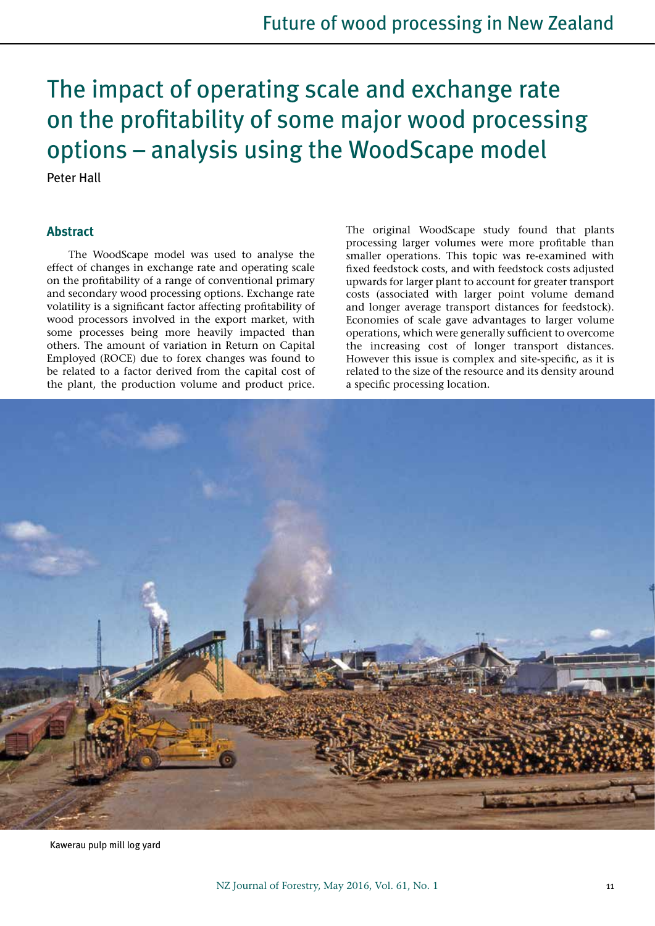# The impact of operating scale and exchange rate on the profitability of some major wood processing options – analysis using the WoodScape model

Peter Hall

# **Abstract**

The WoodScape model was used to analyse the effect of changes in exchange rate and operating scale on the profitability of a range of conventional primary and secondary wood processing options. Exchange rate volatility is a significant factor affecting profitability of wood processors involved in the export market, with some processes being more heavily impacted than others. The amount of variation in Return on Capital Employed (ROCE) due to forex changes was found to be related to a factor derived from the capital cost of the plant, the production volume and product price. The original WoodScape study found that plants processing larger volumes were more profitable than smaller operations. This topic was re-examined with fixed feedstock costs, and with feedstock costs adjusted upwards for larger plant to account for greater transport costs (associated with larger point volume demand and longer average transport distances for feedstock). Economies of scale gave advantages to larger volume operations, which were generally sufficient to overcome the increasing cost of longer transport distances. However this issue is complex and site-specific, as it is related to the size of the resource and its density around a specific processing location.



Kawerau pulp mill log yard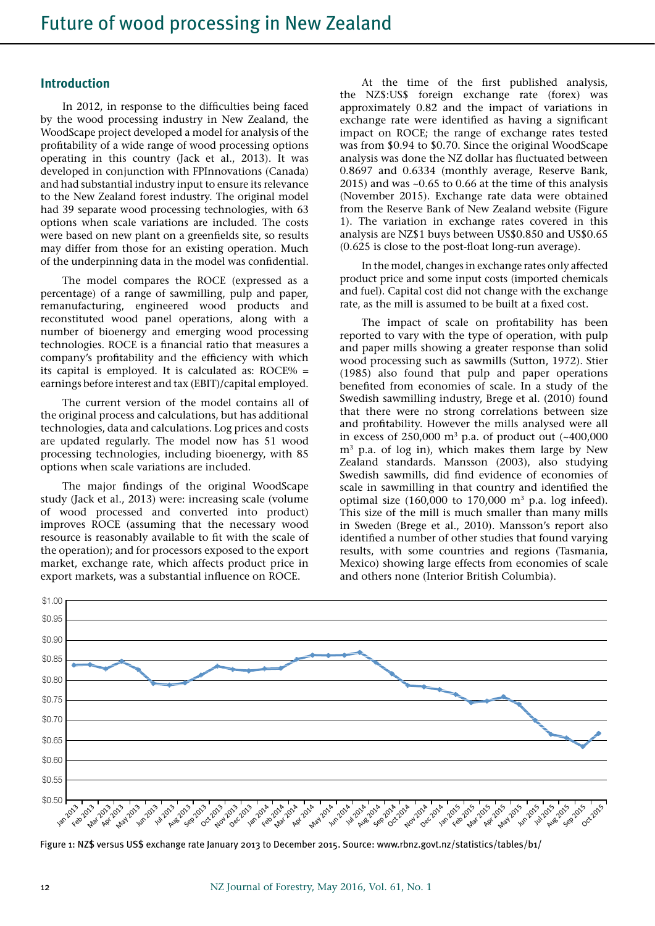# **Introduction**

In 2012, in response to the difficulties being faced by the wood processing industry in New Zealand, the WoodScape project developed a model for analysis of the profitability of a wide range of wood processing options operating in this country (Jack et al., 2013). It was developed in conjunction with FPInnovations (Canada) and had substantial industry input to ensure its relevance to the New Zealand forest industry. The original model had 39 separate wood processing technologies, with 63 options when scale variations are included. The costs were based on new plant on a greenfields site, so results may differ from those for an existing operation. Much of the underpinning data in the model was confidential.

The model compares the ROCE (expressed as a percentage) of a range of sawmilling, pulp and paper, remanufacturing, engineered wood products and reconstituted wood panel operations, along with a number of bioenergy and emerging wood processing technologies. ROCE is a financial ratio that measures a company's profitability and the efficiency with which its capital is employed. It is calculated as: ROCE% = earnings before interest and tax (EBIT)/capital employed.

The current version of the model contains all of the original process and calculations, but has additional technologies, data and calculations. Log prices and costs are updated regularly. The model now has 51 wood processing technologies, including bioenergy, with 85 options when scale variations are included.

The major findings of the original WoodScape study (Jack et al., 2013) were: increasing scale (volume of wood processed and converted into product) improves ROCE (assuming that the necessary wood resource is reasonably available to fit with the scale of the operation); and for processors exposed to the export market, exchange rate, which affects product price in export markets, was a substantial influence on ROCE.

At the time of the first published analysis, the NZ\$:US\$ foreign exchange rate (forex) was approximately 0.82 and the impact of variations in exchange rate were identified as having a significant impact on ROCE; the range of exchange rates tested was from \$0.94 to \$0.70. Since the original WoodScape analysis was done the NZ dollar has fluctuated between 0.8697 and 0.6334 (monthly average, Reserve Bank, 2015) and was ~0.65 to 0.66 at the time of this analysis (November 2015). Exchange rate data were obtained from the Reserve Bank of New Zealand website (Figure 1). The variation in exchange rates covered in this analysis are NZ\$1 buys between US\$0.850 and US\$0.65 (0.625 is close to the post-float long-run average).

In the model, changes in exchange rates only affected product price and some input costs (imported chemicals and fuel). Capital cost did not change with the exchange rate, as the mill is assumed to be built at a fixed cost.

The impact of scale on profitability has been reported to vary with the type of operation, with pulp and paper mills showing a greater response than solid wood processing such as sawmills (Sutton, 1972). Stier (1985) also found that pulp and paper operations benefited from economies of scale. In a study of the Swedish sawmilling industry, Brege et al. (2010) found that there were no strong correlations between size and profitability. However the mills analysed were all in excess of  $250,000$  m<sup>3</sup> p.a. of product out  $(-400,000)$  $m<sup>3</sup>$  p.a. of log in), which makes them large by New Zealand standards. Mansson (2003), also studying Swedish sawmills, did find evidence of economies of scale in sawmilling in that country and identified the optimal size  $(160,000 \text{ to } 170,000 \text{ m}^3 \text{ p.a.} \log \text{ infected}).$ This size of the mill is much smaller than many mills in Sweden (Brege et al., 2010). Mansson's report also identified a number of other studies that found varying results, with some countries and regions (Tasmania, Mexico) showing large effects from economies of scale and others none (Interior British Columbia).



Figure 1: NZ\$ versus US\$ exchange rate January 2013 to December 2015. Source: www.rbnz.govt.nz/statistics/tables/b1/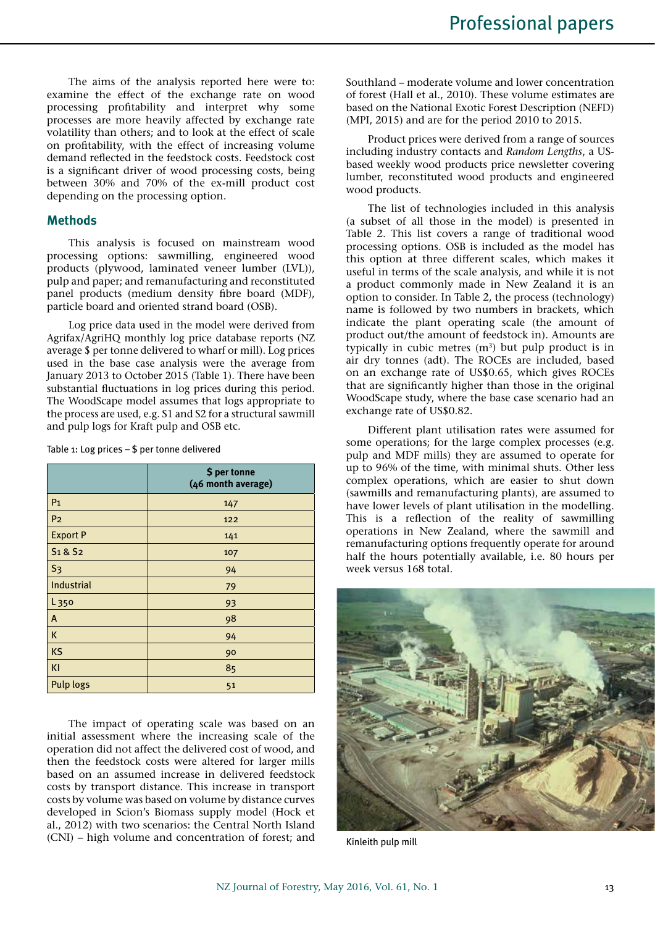The aims of the analysis reported here were to: examine the effect of the exchange rate on wood processing profitability and interpret why some processes are more heavily affected by exchange rate volatility than others; and to look at the effect of scale on profitability, with the effect of increasing volume demand reflected in the feedstock costs. Feedstock cost is a significant driver of wood processing costs, being between 30% and 70% of the ex-mill product cost depending on the processing option.

### **Methods**

This analysis is focused on mainstream wood processing options: sawmilling, engineered wood products (plywood, laminated veneer lumber (LVL)), pulp and paper; and remanufacturing and reconstituted panel products (medium density fibre board (MDF), particle board and oriented strand board (OSB).

Log price data used in the model were derived from Agrifax/AgriHQ monthly log price database reports (NZ average \$ per tonne delivered to wharf or mill). Log prices used in the base case analysis were the average from January 2013 to October 2015 (Table 1). There have been substantial fluctuations in log prices during this period. The WoodScape model assumes that logs appropriate to the process are used, e.g. S1 and S2 for a structural sawmill and pulp logs for Kraft pulp and OSB etc.

Table 1: Log prices – \$ per tonne delivered

|                                 | \$ per tonne<br>(46 month average) |  |  |
|---------------------------------|------------------------------------|--|--|
| P <sub>1</sub>                  | 147                                |  |  |
| P <sub>2</sub>                  | 122                                |  |  |
| <b>Export P</b>                 | 141                                |  |  |
| S <sub>1</sub> & S <sub>2</sub> | 107                                |  |  |
| S <sub>3</sub>                  | 94                                 |  |  |
| Industrial                      | 79                                 |  |  |
| L <sub>350</sub>                | 93                                 |  |  |
| A                               | 98                                 |  |  |
| K                               | 94                                 |  |  |
| <b>KS</b>                       | 90                                 |  |  |
| KI                              | 85                                 |  |  |
| <b>Pulp logs</b>                | 51                                 |  |  |

The impact of operating scale was based on an initial assessment where the increasing scale of the operation did not affect the delivered cost of wood, and then the feedstock costs were altered for larger mills based on an assumed increase in delivered feedstock costs by transport distance. This increase in transport costs by volume was based on volume by distance curves developed in Scion's Biomass supply model (Hock et al., 2012) with two scenarios: the Central North Island (CNI) – high volume and concentration of forest; and

Southland – moderate volume and lower concentration of forest (Hall et al., 2010). These volume estimates are based on the National Exotic Forest Description (NEFD) (MPI, 2015) and are for the period 2010 to 2015.

Product prices were derived from a range of sources including industry contacts and *Random Lengths*, a USbased weekly wood products price newsletter covering lumber, reconstituted wood products and engineered wood products.

The list of technologies included in this analysis (a subset of all those in the model) is presented in Table 2. This list covers a range of traditional wood processing options. OSB is included as the model has this option at three different scales, which makes it useful in terms of the scale analysis, and while it is not a product commonly made in New Zealand it is an option to consider. In Table 2, the process (technology) name is followed by two numbers in brackets, which indicate the plant operating scale (the amount of product out/the amount of feedstock in). Amounts are typically in cubic metres  $(m^3)$  but pulp product is in air dry tonnes (adt). The ROCEs are included, based on an exchange rate of US\$0.65, which gives ROCEs that are significantly higher than those in the original WoodScape study, where the base case scenario had an exchange rate of US\$0.82.

Different plant utilisation rates were assumed for some operations; for the large complex processes (e.g. pulp and MDF mills) they are assumed to operate for up to 96% of the time, with minimal shuts. Other less complex operations, which are easier to shut down (sawmills and remanufacturing plants), are assumed to have lower levels of plant utilisation in the modelling. This is a reflection of the reality of sawmilling operations in New Zealand, where the sawmill and remanufacturing options frequently operate for around half the hours potentially available, i.e. 80 hours per week versus 168 total.



Kinleith pulp mill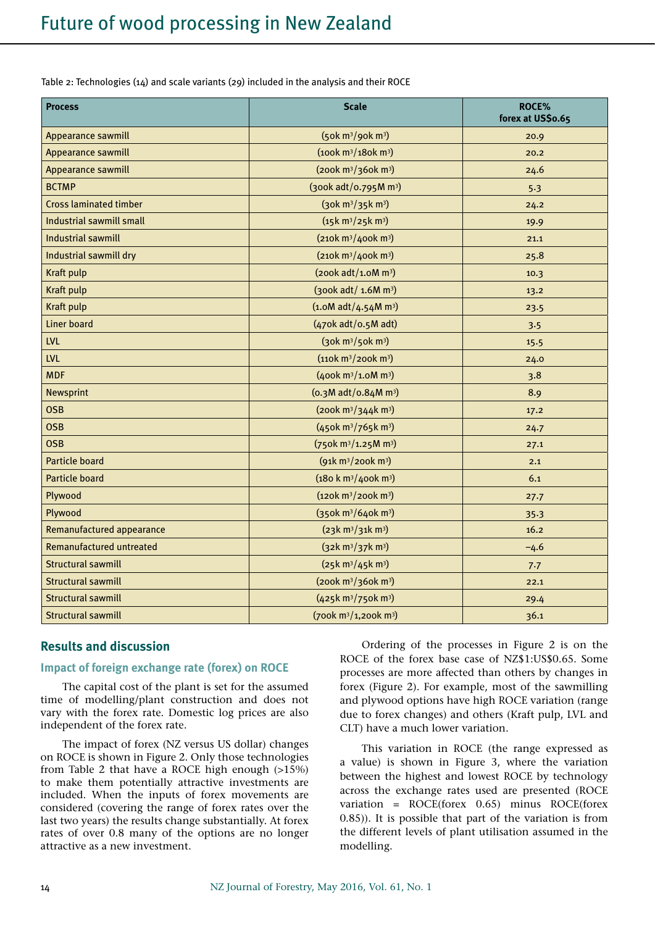Table 2: Technologies (14) and scale variants (29) included in the analysis and their ROCE

| <b>Process</b>                  | <b>Scale</b>                                  | <b>ROCE%</b><br>forex at US\$0.65 |
|---------------------------------|-----------------------------------------------|-----------------------------------|
| Appearance sawmill              | $(5$ ok m <sup>3</sup> /90k m <sup>3</sup> )  | 20.9                              |
| Appearance sawmill              | $(100k \, \text{m}^3/180k \, \text{m}^3)$     | 20.2                              |
| Appearance sawmill              | $(200k m3/360k m3)$                           | 24.6                              |
| <b>BCTMP</b>                    | (300k adt/0.795M m <sup>3</sup> )             | 5.3                               |
| <b>Cross laminated timber</b>   | (30k m <sup>3</sup> /35k m <sup>3</sup> )     | 24.2                              |
| <b>Industrial sawmill small</b> | (15k m <sup>3</sup> /25k m <sup>3</sup> )     | 19.9                              |
| <b>Industrial sawmill</b>       | $(210k \text{ m}^3/400k \text{ m}^3)$         | 21.1                              |
| Industrial sawmill dry          | $(210k \, \text{m}^3/400k \, \text{m}^3)$     | 25.8                              |
| Kraft pulp                      | $(200k \cdot \text{adt}/1.0M \cdot m^3)$      | 10.3                              |
| <b>Kraft pulp</b>               | (300k adt/ 1.6M m <sup>3</sup> )              | 13.2                              |
| <b>Kraft pulp</b>               | $(1.0M$ adt/4.54M m <sup>3</sup> )            | 23.5                              |
| <b>Liner board</b>              | (470k adt/0.5M adt)                           | 3.5                               |
| <b>LVL</b>                      | (30k m <sup>3</sup> /50k m <sup>3</sup> )     | 15.5                              |
| <b>LVL</b>                      | $(110k \text{ m}^3/200k \text{ m}^3)$         | 24.0                              |
| <b>MDF</b>                      | $(400k \text{ m}^3/1.0M \text{ m}^3)$         | 3.8                               |
| <b>Newsprint</b>                | (0.3M adt/0.84M m <sup>3</sup> )              | 8.9                               |
| <b>OSB</b>                      | $(200k m3/344k m3)$                           | 17.2                              |
| <b>OSB</b>                      | (450k m <sup>3</sup> /765k m <sup>3</sup> )   | 24.7                              |
| <b>OSB</b>                      | (750k m <sup>3</sup> /1.25M m <sup>3</sup> )  | 27.1                              |
| <b>Particle board</b>           | $(91k \text{ m}^3/200k \text{ m}^3)$          | 2.1                               |
| <b>Particle board</b>           | $(180 \text{ k m}^3/400 \text{ k m}^3)$       | 6.1                               |
| Plywood                         | $(120k \, \text{m}^3/200k \, \text{m}^3)$     | 27.7                              |
| Plywood                         | $(350k m3/640k m3)$                           | 35.3                              |
| Remanufactured appearance       | (23k m <sup>3</sup> /31k m <sup>3</sup> )     | 16.2                              |
| <b>Remanufactured untreated</b> | (32k m <sup>3</sup> /37k m <sup>3</sup> )     | $-4.6$                            |
| <b>Structural sawmill</b>       | (25k m <sup>3</sup> /45k m <sup>3</sup> )     | 7.7                               |
| <b>Structural sawmill</b>       | $(200k m3/360k m3)$                           | 22.1                              |
| <b>Structural sawmill</b>       | $(425k m3/750k m3)$                           | 29.4                              |
| <b>Structural sawmill</b>       | (700k m <sup>3</sup> /1,200k m <sup>3</sup> ) | 36.1                              |

# **Results and discussion**

### **Impact of foreign exchange rate (forex) on ROCE**

The capital cost of the plant is set for the assumed time of modelling/plant construction and does not vary with the forex rate. Domestic log prices are also independent of the forex rate.

The impact of forex (NZ versus US dollar) changes on ROCE is shown in Figure 2. Only those technologies from Table 2 that have a ROCE high enough (>15%) to make them potentially attractive investments are included. When the inputs of forex movements are considered (covering the range of forex rates over the last two years) the results change substantially. At forex rates of over 0.8 many of the options are no longer attractive as a new investment.

Ordering of the processes in Figure 2 is on the ROCE of the forex base case of NZ\$1:US\$0.65. Some processes are more affected than others by changes in forex (Figure 2). For example, most of the sawmilling and plywood options have high ROCE variation (range due to forex changes) and others (Kraft pulp, LVL and CLT) have a much lower variation.

This variation in ROCE (the range expressed as a value) is shown in Figure 3, where the variation between the highest and lowest ROCE by technology across the exchange rates used are presented (ROCE variation = ROCE(forex 0.65) minus ROCE(forex 0.85)). It is possible that part of the variation is from the different levels of plant utilisation assumed in the modelling.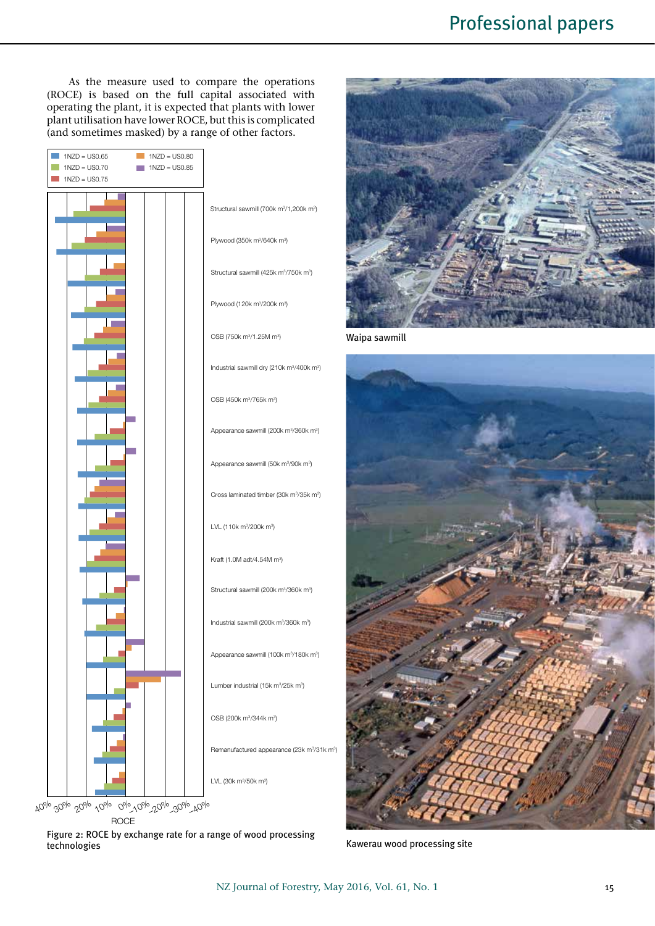As the measure used to compare the operations (ROCE) is based on the full capital associated with operating the plant, it is expected that plants with lower plant utilisation have lower ROCE, but this is complicated (and sometimes masked) by a range of other factors.







Figure 2: ROCE by exchange rate for a range of wood processing technologies

Kawerau wood processing site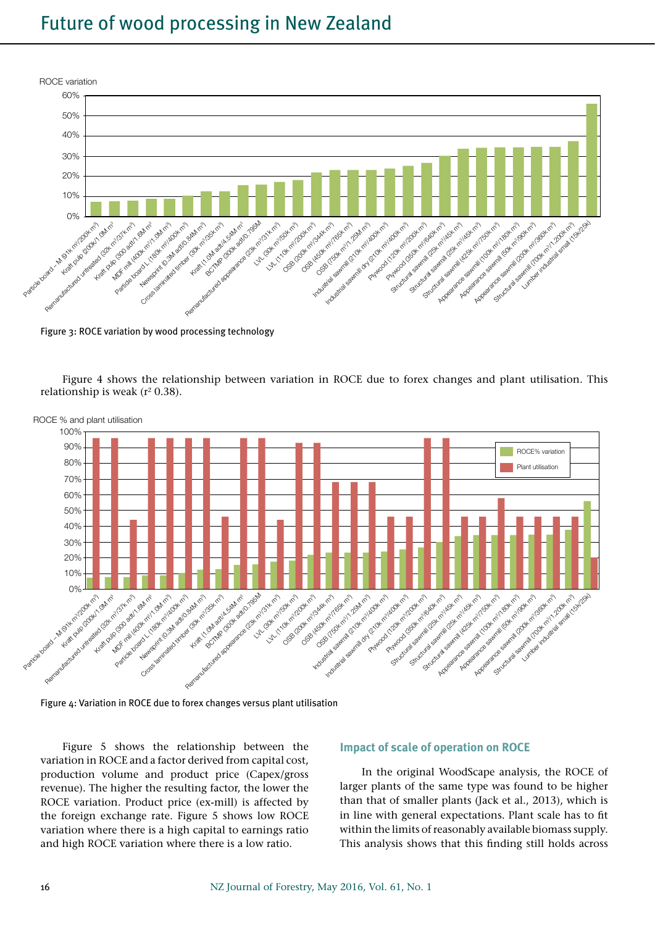# Future of wood processing in New Zealand



Figure 3: ROCE variation by wood processing technology

Figure 4 shows the relationship between variation in ROCE due to forex changes and plant utilisation. This relationship is weak ( $r^2$  0.38).



ROCE % and plant utilisation



Figure 5 shows the relationship between the variation in ROCE and a factor derived from capital cost, production volume and product price (Capex/gross revenue). The higher the resulting factor, the lower the ROCE variation. Product price (ex-mill) is affected by the foreign exchange rate. Figure 5 shows low ROCE variation where there is a high capital to earnings ratio and high ROCE variation where there is a low ratio.

### **Impact of scale of operation on ROCE**

In the original WoodScape analysis, the ROCE of larger plants of the same type was found to be higher than that of smaller plants (Jack et al., 2013), which is in line with general expectations. Plant scale has to fit within the limits of reasonably available biomass supply. This analysis shows that this finding still holds across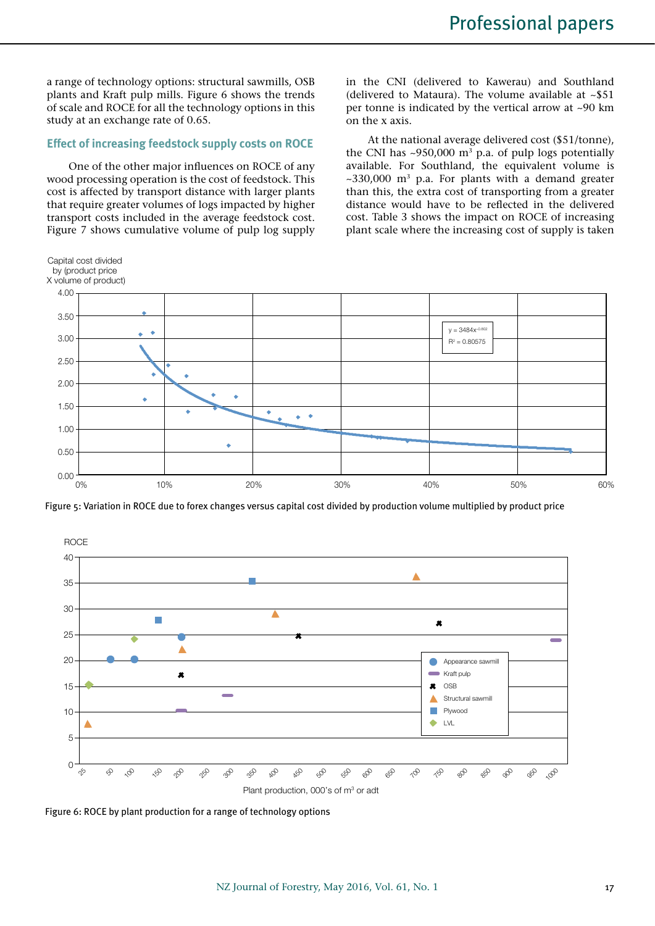a range of technology options: structural sawmills, OSB plants and Kraft pulp mills. Figure 6 shows the trends of scale and ROCE for all the technology options in this study at an exchange rate of 0.65.

### **Effect of increasing feedstock supply costs on ROCE**

One of the other major influences on ROCE of any wood processing operation is the cost of feedstock. This cost is affected by transport distance with larger plants that require greater volumes of logs impacted by higher transport costs included in the average feedstock cost. Figure 7 shows cumulative volume of pulp log supply

Capital cost divided

in the CNI (delivered to Kawerau) and Southland (delivered to Mataura). The volume available at  $\sim$ \$51 per tonne is indicated by the vertical arrow at ~90 km on the x axis.

At the national average delivered cost (\$51/tonne), the CNI has  $\sim$ 950,000 m<sup>3</sup> p.a. of pulp logs potentially available. For Southland, the equivalent volume is  $\sim$ 330,000 m<sup>3</sup> p.a. For plants with a demand greater than this, the extra cost of transporting from a greater distance would have to be reflected in the delivered cost. Table 3 shows the impact on ROCE of increasing plant scale where the increasing cost of supply is taken



Figure 5: Variation in ROCE due to forex changes versus capital cost divided by production volume multiplied by product price



Figure 6: ROCE by plant production for a range of technology options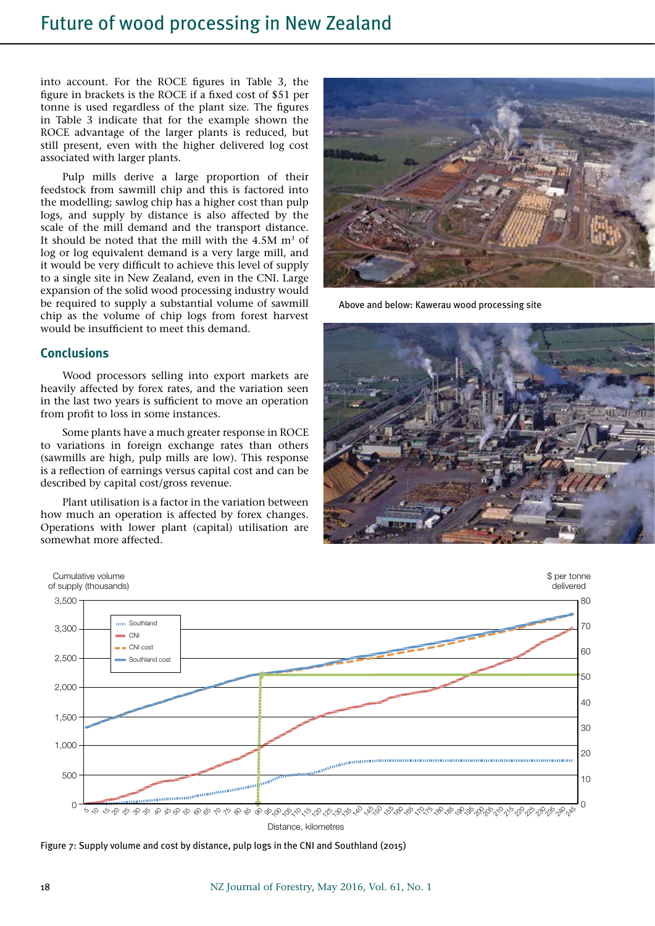into account. For the ROCE figures in Table 3, the figure in brackets is the ROCE if a fixed cost of \$51 per tonne is used regardless of the plant size. The figures in Table 3 indicate that for the example shown the ROCE advantage of the larger plants is reduced, but still present, even with the higher delivered log cost associated with larger plants.

Pulp mills derive a large proportion of their feedstock from sawmill chip and this is factored into the modelling; sawlog chip has a higher cost than pulp logs, and supply by distance is also affected by the scale of the mill demand and the transport distance. It should be noted that the mill with the  $4.5M \text{ m}^3$  of log or log equivalent demand is a very large mill, and it would be very difficult to achieve this level of supply to a single site in New Zealand, even in the CNI. Large expansion of the solid wood processing industry would be required to supply a substantial volume of sawmill chip as the volume of chip logs from forest harvest would be insufficient to meet this demand.

# **Conclusions**

Wood processors selling into export markets are heavily affected by forex rates, and the variation seen in the last two years is sufficient to move an operation from profit to loss in some instances.

Some plants have a much greater response in ROCE to variations in foreign exchange rates than others (sawmills are high, pulp mills are low). This response is a reflection of earnings versus capital cost and can be described by capital cost/gross revenue.

Plant utilisation is a factor in the variation between how much an operation is affected by forex changes. Operations with lower plant (capital) utilisation are somewhat more affected.



Above and below: Kawerau wood processing site





Figure 7: Supply volume and cost by distance, pulp logs in the CNI and Southland (2015)